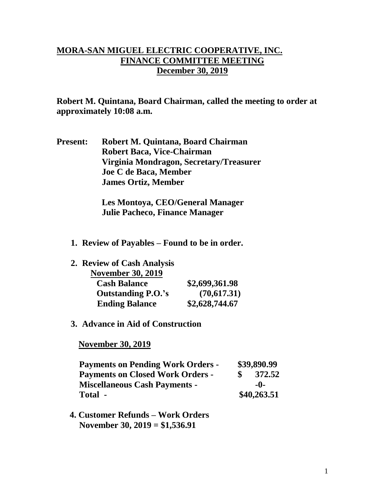## **MORA-SAN MIGUEL ELECTRIC COOPERATIVE, INC. FINANCE COMMITTEE MEETING December 30, 2019**

**Robert M. Quintana, Board Chairman, called the meeting to order at approximately 10:08 a.m.**

**Present: Robert M. Quintana, Board Chairman Robert Baca, Vice-Chairman Virginia Mondragon, Secretary/Treasurer Joe C de Baca, Member James Ortiz, Member**

> **Les Montoya, CEO/General Manager Julie Pacheco, Finance Manager**

- **1. Review of Payables – Found to be in order.**
- **2. Review of Cash Analysis**

| <b>November 30, 2019</b>  |                |
|---------------------------|----------------|
| <b>Cash Balance</b>       | \$2,699,361.98 |
| <b>Outstanding P.O.'s</b> | (70,617.31)    |
| <b>Ending Balance</b>     | \$2,628,744.67 |

**3. Advance in Aid of Construction**

 **November 30, 2019**

| <b>Payments on Pending Work Orders -</b> |  | \$39,890.99 |  |
|------------------------------------------|--|-------------|--|
| <b>Payments on Closed Work Orders -</b>  |  | 372.52      |  |
| <b>Miscellaneous Cash Payments -</b>     |  | $-0-$       |  |
| Total -                                  |  | \$40,263.51 |  |

 **4. Customer Refunds – Work Orders November 30, 2019 = \$1,536.91**